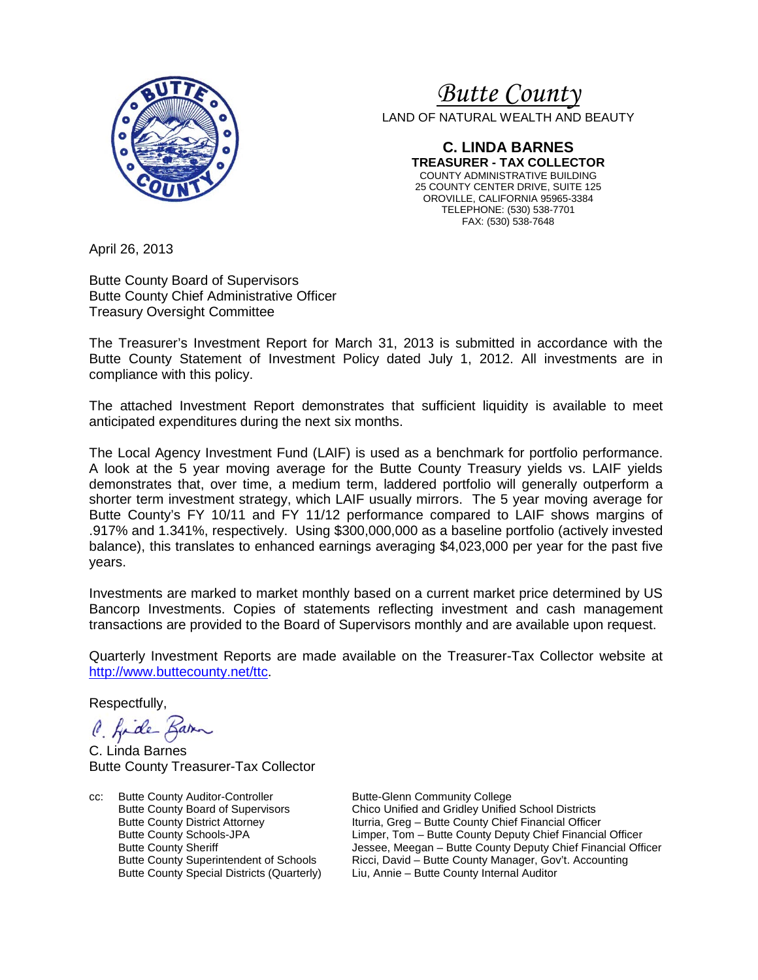

# *<sup>U</sup>Butte County*

LAND OF NATURAL WEALTH AND BEAUTY

**C. LINDA BARNES TREASURER - TAX COLLECTOR** COUNTY ADMINISTRATIVE BUILDING 25 COUNTY CENTER DRIVE, SUITE 125 OROVILLE, CALIFORNIA 95965-3384 TELEPHONE: (530) 538-7701 FAX: (530) 538-7648

April 26, 2013

Butte County Board of Supervisors Butte County Chief Administrative Officer Treasury Oversight Committee

The Treasurer's Investment Report for March 31, 2013 is submitted in accordance with the Butte County Statement of Investment Policy dated July 1, 2012. All investments are in compliance with this policy.

The attached Investment Report demonstrates that sufficient liquidity is available to meet anticipated expenditures during the next six months.

The Local Agency Investment Fund (LAIF) is used as a benchmark for portfolio performance. A look at the 5 year moving average for the Butte County Treasury yields vs. LAIF yields demonstrates that, over time, a medium term, laddered portfolio will generally outperform a shorter term investment strategy, which LAIF usually mirrors. The 5 year moving average for Butte County's FY 10/11 and FY 11/12 performance compared to LAIF shows margins of .917% and 1.341%, respectively. Using \$300,000,000 as a baseline portfolio (actively invested balance), this translates to enhanced earnings averaging \$4,023,000 per year for the past five years.

Investments are marked to market monthly based on a current market price determined by US Bancorp Investments. Copies of statements reflecting investment and cash management transactions are provided to the Board of Supervisors monthly and are available upon request.

Quarterly Investment Reports are made available on the Treasurer-Tax Collector website at [http://www.buttecounty.net/ttc.](http://www.buttecounty.net/ttc)

Respectfully,

C. Kide Barn

C. Linda Barnes Butte County Treasurer-Tax Collector

cc: Butte County Auditor-Controller Butte-Glenn Community College<br>Butte County Board of Supervisors Chico Unified and Gridley Unified

Butte County Board of Supervisors Chico Unified and Gridley Unified School Districts<br>Butte County District Attorney Iturria, Greg – Butte County Chief Financial Office Iturria, Greg – Butte County Chief Financial Officer Butte County Schools-JPA Limper, Tom – Butte County Deputy Chief Financial Officer Butte County Sheriff **Jessee, Meegan – Butte County Deputy Chief Financial Officer**<br>Butte County Superintendent of Schools Ricci, David – Butte County Manager, Gov't, Accounting Butte County Superintendent of Schools Ricci, David – Butte County Manager, Gov't. Accounting<br>Butte County Special Districts (Quarterly) Liu, Annie – Butte County Internal Auditor Liu, Annie – Butte County Internal Auditor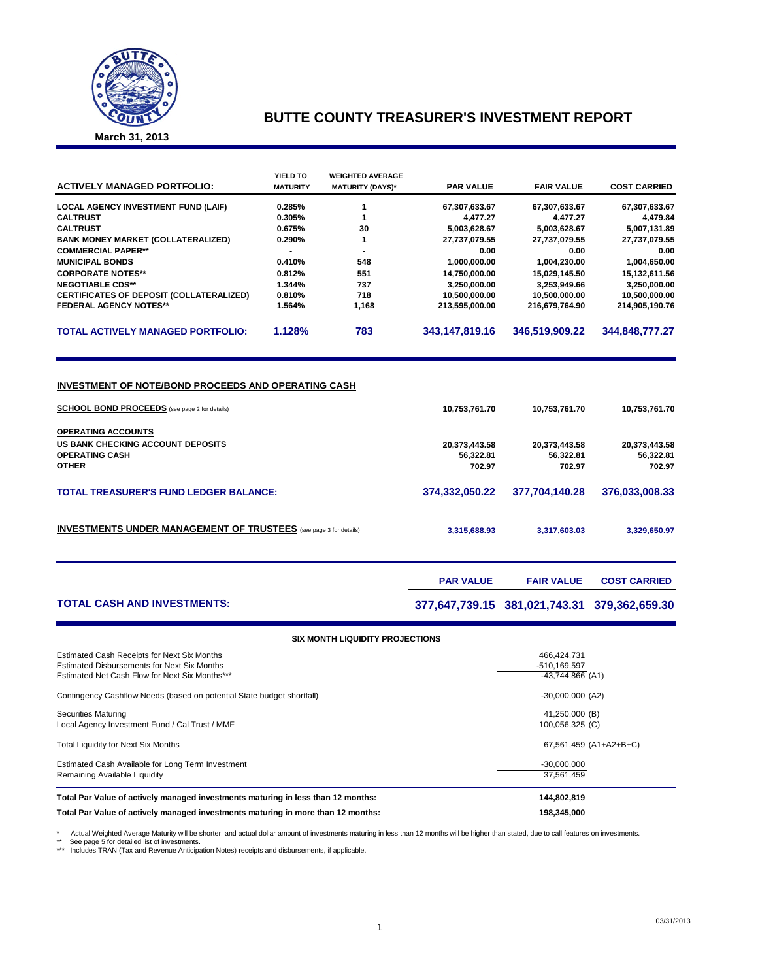

## **BUTTE COUNTY TREASURER'S INVESTMENT REPORT**

**March 31, 2013**

| <b>ACTIVELY MANAGED PORTFOLIO:</b>              | YIELD TO<br><b>MATURITY</b> | <b>WEIGHTED AVERAGE</b><br><b>MATURITY (DAYS)*</b> | <b>PAR VALUE</b> | <b>FAIR VALUE</b> | <b>COST CARRIED</b> |
|-------------------------------------------------|-----------------------------|----------------------------------------------------|------------------|-------------------|---------------------|
| <b>LOCAL AGENCY INVESTMENT FUND (LAIF)</b>      | 0.285%                      |                                                    | 67,307,633.67    | 67,307,633.67     | 67,307,633.67       |
| <b>CALTRUST</b>                                 | 0.305%                      |                                                    | 4.477.27         | 4.477.27          | 4,479.84            |
| <b>CALTRUST</b>                                 | 0.675%                      | 30                                                 | 5,003,628.67     | 5,003,628.67      | 5,007,131.89        |
| <b>BANK MONEY MARKET (COLLATERALIZED)</b>       | 0.290%                      |                                                    | 27,737,079.55    | 27,737,079.55     | 27,737,079.55       |
| <b>COMMERCIAL PAPER**</b>                       |                             |                                                    | 0.00             | 0.00              | 0.00                |
| <b>MUNICIPAL BONDS</b>                          | 0.410%                      | 548                                                | 1,000,000.00     | 1,004,230.00      | 1,004,650.00        |
| <b>CORPORATE NOTES**</b>                        | 0.812%                      | 551                                                | 14,750,000.00    | 15.029.145.50     | 15,132,611.56       |
| <b>NEGOTIABLE CDS**</b>                         | 1.344%                      | 737                                                | 3.250.000.00     | 3.253.949.66      | 3,250,000.00        |
| <b>CERTIFICATES OF DEPOSIT (COLLATERALIZED)</b> | 0.810%                      | 718                                                | 10,500,000.00    | 10,500,000.00     | 10,500,000.00       |
| <b>FEDERAL AGENCY NOTES**</b>                   | 1.564%                      | 1,168                                              | 213.595.000.00   | 216.679.764.90    | 214,905,190.76      |
| <b>TOTAL ACTIVELY MANAGED PORTFOLIO:</b>        | 1.128%                      | 783                                                | 343,147,819.16   | 346,519,909.22    | 344.848.777.27      |

#### **INVESTMENT OF NOTE/BOND PROCEEDS AND OPERATING CASH**

| <b>SCHOOL BOND PROCEEDS</b> (see page 2 for details)                     | 10.753.761.70  | 10,753,761.70  | 10,753,761.70  |
|--------------------------------------------------------------------------|----------------|----------------|----------------|
| <b>OPERATING ACCOUNTS</b>                                                |                |                |                |
| US BANK CHECKING ACCOUNT DEPOSITS                                        | 20,373,443.58  | 20,373,443.58  | 20,373,443.58  |
| <b>OPERATING CASH</b>                                                    | 56.322.81      | 56.322.81      | 56,322.81      |
| <b>OTHER</b>                                                             | 702.97         | 702.97         | 702.97         |
| <b>TOTAL TREASURER'S FUND LEDGER BALANCE:</b>                            | 374,332,050.22 | 377.704.140.28 | 376,033,008.33 |
| <b>INVESTMENTS UNDER MANAGEMENT OF TRUSTEES</b> (see page 3 for details) | 3,315,688.93   | 3,317,603.03   | 3,329,650.97   |
|                                                                          |                |                |                |

**PAR VALUE FAIR VALUE COST CARRIED** 

**TOTAL CASH AND INVESTMENTS: 377,647,739.15 381,021,743.31 379,362,659.30**

| <b>SIX MONTH LIQUIDITY PROJECTIONS</b>                                                     |                             |  |  |  |  |  |  |  |
|--------------------------------------------------------------------------------------------|-----------------------------|--|--|--|--|--|--|--|
| Estimated Cash Receipts for Next Six Months<br>Estimated Disbursements for Next Six Months | 466.424.731<br>-510,169,597 |  |  |  |  |  |  |  |
| Estimated Net Cash Flow for Next Six Months***                                             | $-43,744,866$ (A1)          |  |  |  |  |  |  |  |
| Contingency Cashflow Needs (based on potential State budget shortfall)                     | $-30,000,000$ (A2)          |  |  |  |  |  |  |  |
| <b>Securities Maturing</b>                                                                 | 41,250,000 (B)              |  |  |  |  |  |  |  |
| Local Agency Investment Fund / Cal Trust / MMF                                             | 100,056,325 (C)             |  |  |  |  |  |  |  |
| <b>Total Liquidity for Next Six Months</b>                                                 | 67,561,459 (A1+A2+B+C)      |  |  |  |  |  |  |  |
| Estimated Cash Available for Long Term Investment                                          | $-30,000,000$               |  |  |  |  |  |  |  |
| Remaining Available Liquidity                                                              | 37.561.459                  |  |  |  |  |  |  |  |
| Total Par Value of actively managed investments maturing in less than 12 months:           | 144,802,819                 |  |  |  |  |  |  |  |
| Total Par Value of actively managed investments maturing in more than 12 months:           | 198.345.000                 |  |  |  |  |  |  |  |

\* Actual Weighted Average Maturity will be shorter, and actual dollar amount of investments maturing in less than 12 months will be higher than stated, due to call features on investments<br>\*\* See page 5 for detailed list of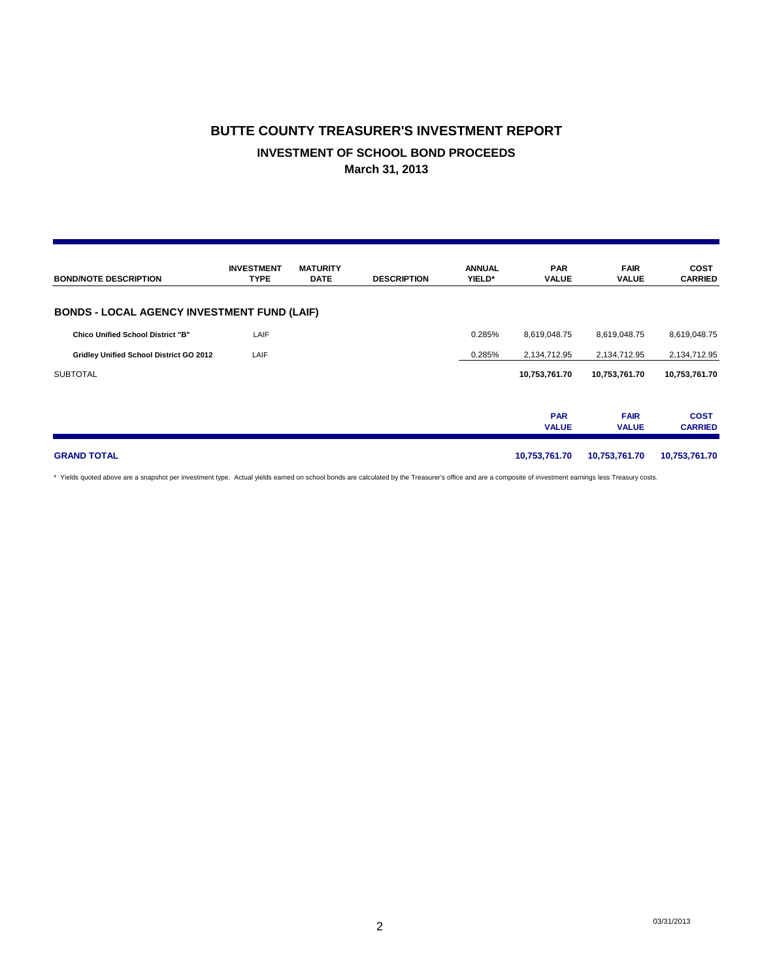# **BUTTE COUNTY TREASURER'S INVESTMENT REPORT INVESTMENT OF SCHOOL BOND PROCEEDS March 31, 2013**

| <b>BOND/NOTE DESCRIPTION</b>                       | <b>INVESTMENT</b><br><b>TYPE</b> | <b>MATURITY</b><br><b>DATE</b> | <b>DESCRIPTION</b> | <b>ANNUAL</b><br>YIELD* | <b>PAR</b><br><b>VALUE</b> | <b>FAIR</b><br><b>VALUE</b> | <b>COST</b><br><b>CARRIED</b> |
|----------------------------------------------------|----------------------------------|--------------------------------|--------------------|-------------------------|----------------------------|-----------------------------|-------------------------------|
| <b>BONDS - LOCAL AGENCY INVESTMENT FUND (LAIF)</b> |                                  |                                |                    |                         |                            |                             |                               |
| <b>Chico Unified School District "B"</b>           | LAIF                             |                                |                    | 0.285%                  | 8,619,048.75               | 8,619,048.75                | 8,619,048.75                  |
| Gridley Unified School District GO 2012            | LAIF                             |                                |                    | 0.285%                  | 2,134,712.95               | 2,134,712.95                | 2,134,712.95                  |
| <b>SUBTOTAL</b>                                    |                                  |                                |                    |                         | 10,753,761.70              | 10,753,761.70               | 10,753,761.70                 |
|                                                    |                                  |                                |                    |                         | <b>PAR</b><br><b>VALUE</b> | <b>FAIR</b><br><b>VALUE</b> | <b>COST</b><br><b>CARRIED</b> |
| <b>GRAND TOTAL</b>                                 |                                  |                                |                    |                         | 10,753,761.70              | 10,753,761.70               | 10,753,761.70                 |

\* Yields quoted above are a snapshot per investment type. Actual yields earned on school bonds are calculated by the Treasurer's office and are a composite of investment earnings less Treasury costs.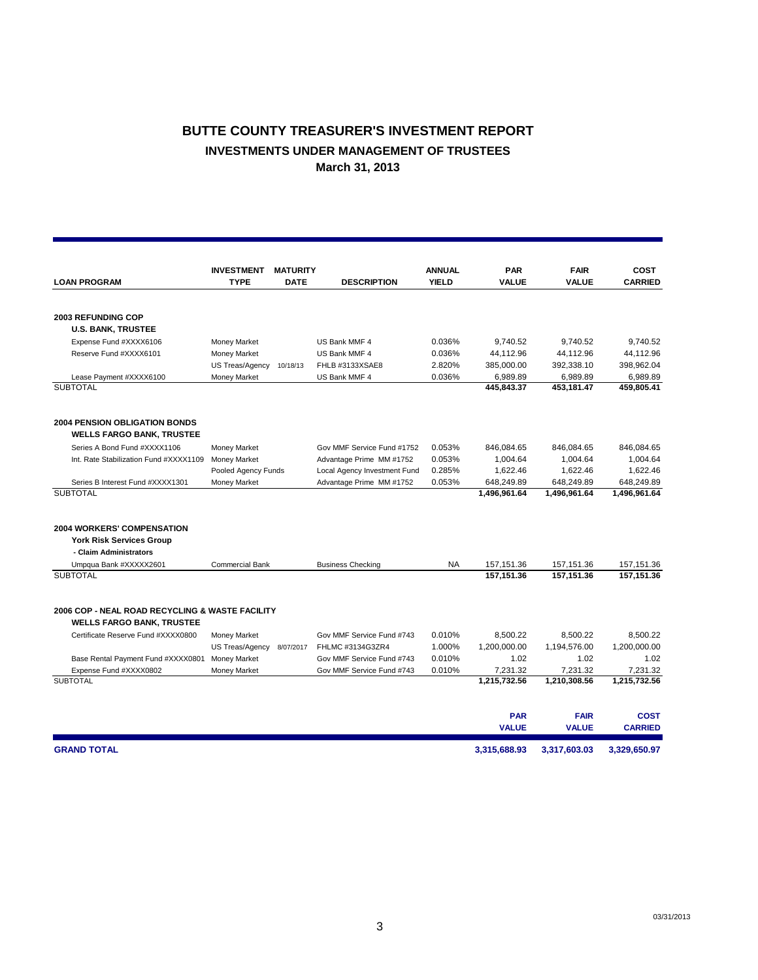# **BUTTE COUNTY TREASURER'S INVESTMENT REPORT INVESTMENTS UNDER MANAGEMENT OF TRUSTEES March 31, 2013**

|                                                                                     | <b>INVESTMENT</b>      | <b>MATURITY</b> |                              | <b>ANNUAL</b> | <b>PAR</b>   | <b>FAIR</b>  | COST           |
|-------------------------------------------------------------------------------------|------------------------|-----------------|------------------------------|---------------|--------------|--------------|----------------|
| <b>LOAN PROGRAM</b>                                                                 | <b>TYPE</b>            | <b>DATE</b>     | <b>DESCRIPTION</b>           | <b>YIELD</b>  | <b>VALUE</b> | <b>VALUE</b> | <b>CARRIED</b> |
|                                                                                     |                        |                 |                              |               |              |              |                |
| <b>2003 REFUNDING COP</b>                                                           |                        |                 |                              |               |              |              |                |
| <b>U.S. BANK, TRUSTEE</b>                                                           |                        |                 |                              |               |              |              |                |
| Expense Fund #XXXX6106                                                              | Money Market           |                 | US Bank MMF 4                | 0.036%        | 9,740.52     | 9,740.52     | 9.740.52       |
| Reserve Fund #XXXX6101                                                              | Money Market           |                 | US Bank MMF 4                | 0.036%        | 44,112.96    | 44,112.96    | 44,112.96      |
|                                                                                     | US Treas/Agency        | 10/18/13        | FHLB #3133XSAE8              | 2.820%        | 385,000.00   | 392,338.10   | 398,962.04     |
| Lease Payment #XXXX6100                                                             | Money Market           |                 | US Bank MMF 4                | 0.036%        | 6,989.89     | 6,989.89     | 6,989.89       |
| <b>SUBTOTAL</b>                                                                     |                        |                 |                              |               | 445,843.37   | 453,181.47   | 459,805.41     |
| <b>2004 PENSION OBLIGATION BONDS</b><br><b>WELLS FARGO BANK, TRUSTEE</b>            |                        |                 |                              |               |              |              |                |
| Series A Bond Fund #XXXX1106                                                        | Money Market           |                 | Gov MMF Service Fund #1752   | 0.053%        | 846,084.65   | 846,084.65   | 846,084.65     |
| Int. Rate Stabilization Fund #XXXX1109                                              | Money Market           |                 | Advantage Prime MM #1752     | 0.053%        | 1,004.64     | 1,004.64     | 1,004.64       |
|                                                                                     | Pooled Agency Funds    |                 | Local Agency Investment Fund | 0.285%        | 1,622.46     | 1,622.46     | 1,622.46       |
| Series B Interest Fund #XXXX1301                                                    | Money Market           |                 | Advantage Prime MM #1752     | 0.053%        | 648,249.89   | 648,249.89   | 648,249.89     |
| <b>SUBTOTAL</b>                                                                     |                        |                 |                              |               | 1,496,961.64 | 1,496,961.64 | 1,496,961.64   |
| <b>2004 WORKERS' COMPENSATION</b>                                                   |                        |                 |                              |               |              |              |                |
| <b>York Risk Services Group</b>                                                     |                        |                 |                              |               |              |              |                |
| - Claim Administrators                                                              |                        |                 |                              |               |              |              |                |
| Umpqua Bank #XXXXX2601                                                              | <b>Commercial Bank</b> |                 | <b>Business Checking</b>     | <b>NA</b>     | 157, 151.36  | 157, 151.36  | 157, 151.36    |
| <b>SUBTOTAL</b>                                                                     |                        |                 |                              |               | 157.151.36   | 157.151.36   | 157.151.36     |
| 2006 COP - NEAL ROAD RECYCLING & WASTE FACILITY<br><b>WELLS FARGO BANK, TRUSTEE</b> |                        |                 |                              |               |              |              |                |
| Certificate Reserve Fund #XXXX0800                                                  | Money Market           |                 | Gov MMF Service Fund #743    | 0.010%        | 8,500.22     | 8,500.22     | 8,500.22       |
|                                                                                     | US Treas/Agency        | 8/07/2017       | FHLMC #3134G3ZR4             | 1.000%        | 1,200,000.00 | 1,194,576.00 | 1,200,000.00   |
| Base Rental Payment Fund #XXXX0801                                                  | <b>Money Market</b>    |                 | Gov MMF Service Fund #743    | 0.010%        | 1.02         | 1.02         | 1.02           |
| Expense Fund #XXXX0802                                                              | Money Market           |                 | Gov MMF Service Fund #743    | 0.010%        | 7,231.32     | 7,231.32     | 7,231.32       |
| <b>SUBTOTAL</b>                                                                     |                        |                 |                              |               | 1,215,732.56 | 1,210,308.56 | 1,215,732.56   |
|                                                                                     |                        |                 |                              |               |              |              |                |
|                                                                                     |                        |                 |                              |               | <b>PAR</b>   | <b>FAIR</b>  | <b>COST</b>    |
|                                                                                     |                        |                 |                              |               | <b>VALUE</b> | <b>VALUE</b> | <b>CARRIED</b> |
| <b>GRAND TOTAL</b>                                                                  |                        |                 |                              |               | 3.315.688.93 | 3,317,603.03 | 3.329.650.97   |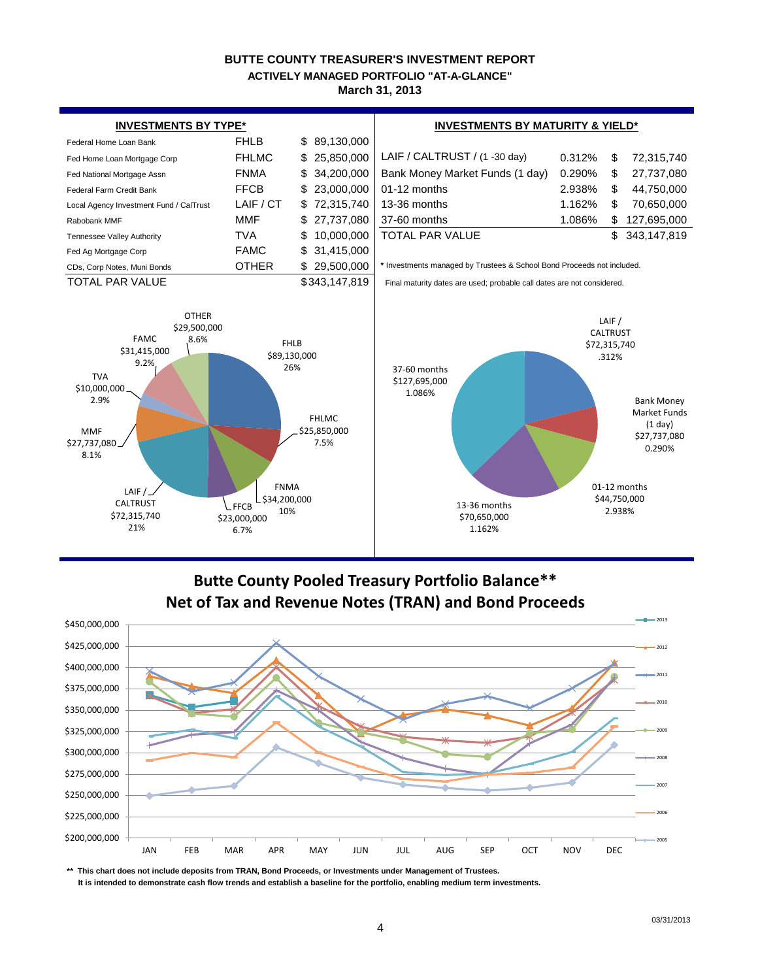### **BUTTE COUNTY TREASURER'S INVESTMENT REPORT March 31, 2013 ACTIVELY MANAGED PORTFOLIO "AT-A-GLANCE"**



# **Butte County Pooled Treasury Portfolio Balance\*\* Net of Tax and Revenue Notes (TRAN) and Bond Proceeds**



**\*\* This chart does not include deposits from TRAN, Bond Proceeds, or Investments under Management of Trustees.**

 **It is intended to demonstrate cash flow trends and establish a baseline for the portfolio, enabling medium term investments.**